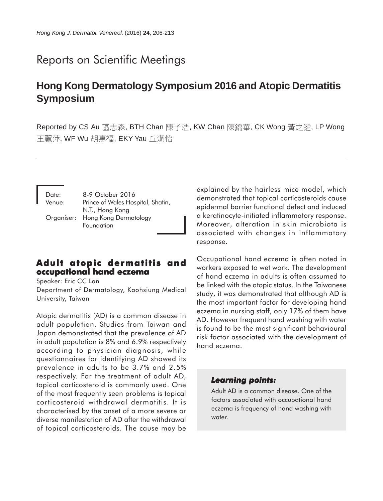# Reports on Scientific Meetings

# **Hong Kong Dermatology Symposium 2016 and Atopic Dermatitis Symposium**

Reported by CS Au 區志森, BTH Chan 陳子浩, KW Chan 陳錦華, CK Wong 黃之鍵, LP Wong 干麗萍, WF Wu 胡惠福, EKY Yau 丘潔怡

| Date:  | 8-9 October 2016                               |
|--------|------------------------------------------------|
| Venue: | Prince of Wales Hospital, Shatin,              |
|        | N.T., Hong Kong                                |
|        | Organiser: Hong Kong Dermatology<br>Foundation |

# **Adult atopic dermatitis and** *occupational hand eczema*

Speaker: Eric CC Lan Department of Dermatology, Kaohsiung Medical University, Taiwan

Atopic dermatitis (AD) is a common disease in adult population. Studies from Taiwan and Japan demonstrated that the prevalence of AD in adult population is 8% and 6.9% respectively according to physician diagnosis, while questionnaires for identifying AD showed its prevalence in adults to be 3.7% and 2.5% respectively. For the treatment of adult AD, topical corticosteroid is commonly used. One of the most frequently seen problems is topical corticosteroid withdrawal dermatitis. It is characterised by the onset of a more severe or diverse manifestation of AD after the withdrawal of topical corticosteroids. The cause may be explained by the hairless mice model, which demonstrated that topical corticosteroids cause epidermal barrier functional defect and induced a keratinocyte-initiated inflammatory response. Moreover, alteration in skin microbiota is associated with changes in inflammatory response.

Occupational hand eczema is often noted in workers exposed to wet work. The development of hand eczema in adults is often assumed to be linked with the atopic status. In the Taiwanese study, it was demonstrated that although AD is the most important factor for developing hand eczema in nursing staff, only 17% of them have AD. However frequent hand washing with water is found to be the most significant behavioural risk factor associated with the development of hand eczema.

### **Learning points:**

Adult AD is a common disease. One of the factors associated with occupational hand eczema is frequency of hand washing with water.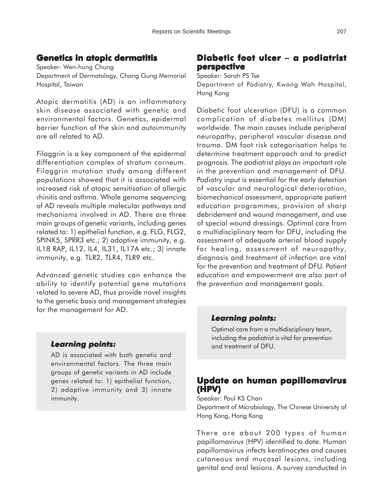# **Genetics in atopic dermatitis**

Speaker: Wen-hung Chung Department of Dermatology, Chang Gung Memorial Hospital, Taiwan

Atopic dermatitis (AD) is an inflammatory skin disease associated with genetic and environmental factors. Genetics, epidermal barrier function of the skin and autoimmunity are all related to AD.

Filaggrin is a key component of the epidermal differentiation complex of stratum corneum. Filaggrin mutation study among different populations showed that it is associated with increased risk of atopic sensitisation of allergic rhinitis and asthma. Whole genome sequencing of AD reveals multiple molecular pathways and mechanisms involved in AD. There are three main groups of genetic variants, including genes related to: 1) epithelial function, e.g. FLG, FLG2, SPINK5, SPRR3 etc.; 2) adaptive immunity, e.g. IL18 RAP, IL12, IL4, IL31, IL17A etc.; 3) innate immunity, e.g. TLR2, TLR4, TLR9 etc.

Advanced genetic studies can enhance the ability to identify potential gene mutations related to severe AD, thus provide novel insights to the genetic basis and management strategies for the management for AD.

# **Diabetic foot ulcer foot ulcer** − **a podiatrist podiatrist perspective**

Speaker: Sarah PS Tse

Department of Podiatry, Kwong Wah Hospital, Hong Kong

Diabetic foot ulceration (DFU) is a common complication of diabetes mellitus (DM) worldwide. The main causes include peripheral neuropathy, peripheral vascular disease and trauma. DM foot risk categorisation helps to determine treatment approach and to predict prognosis. The podiatrist plays an important role in the prevention and management of DFU. Podiatry input is essential for the early detection of vascular and neurological deterioration, biomechanical assessment, appropriate patient education programmes, provision of sharp debridement and wound management, and use of special wound dressings. Optimal care from a multidisciplinary team for DFU, including the assessment of adequate arterial blood supply for healing, assessment of neuropathy, diagnosis and treatment of infection are vital for the prevention and treatment of DFU. Patient education and empowerment are also part of the prevention and management goals.

### *Learning points: Learning*

Optimal care from a multidisciplinary team, including the podiatrist is vital for prevention and treatment of DFU.

# **Update on human papillomavirus (HPV)**

Speaker: Paul KS Chan Department of Microbiology, The Chinese University of Hong Kong, Hong Kong

There are about 200 types of human papillomavirus (HPV) identified to date. Human papillomavirus infects keratinocytes and causes cutaneous and mucosal lesions, including genital and oral lesions. A survey conducted in

### *Learning points: Learning*

AD is associated with both genetic and environmental factors. The three main groups of genetic variants in AD include genes related to: 1) epithelial function, 2) adaptive immunity and 3) innate immunity.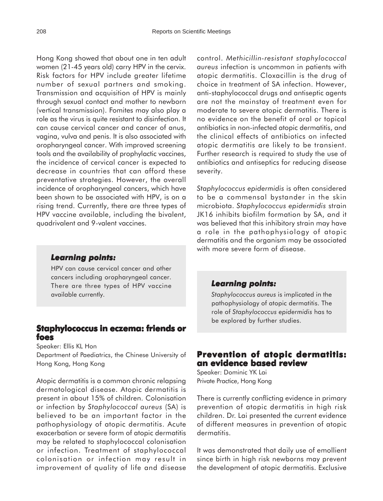Hong Kong showed that about one in ten adult women (21-45 years old) carry HPV in the cervix. Risk factors for HPV include greater lifetime number of sexual partners and smoking. Transmission and acquisition of HPV is mainly through sexual contact and mother to newborn (vertical transmission). Fomites may also play a role as the virus is quite resistant to disinfection. It can cause cervical cancer and cancer of anus, vagina, vulva and penis. It is also associated with oropharyngeal cancer. With improved screening tools and the availability of prophylactic vaccines, the incidence of cervical cancer is expected to decrease in countries that can afford these preventative strategies. However, the overall incidence of oropharyngeal cancers, which have been shown to be associated with HPV, is on a rising trend. Currently, there are three types of HPV vaccine available, including the bivalent, quadrivalent and 9-valent vaccines.

#### *Learning points: Learning*

HPV can cause cervical cancer and other cancers including oropharyngeal cancer. There are three types of HPV vaccine available currently.

### **Staphylococcus in eczema: friends or foes**

Speaker: Ellis KL Hon Department of Paediatrics, the Chinese University of Hong Kong, Hong Kong

Atopic dermatitis is a common chronic relapsing dermatological disease. Atopic dermatitis is present in about 15% of children. Colonisation or infection by *Staphylococcal aureus* (SA) is believed to be an important factor in the pathophysiology of atopic dermatitis. Acute exacerbation or severe form of atopic dermatitis may be related to staphylococcal colonisation or infection. Treatment of staphylococcal colonisation or infection may result in improvement of quality of life and disease

control. *Methicillin-resistant staphylococcal aureus* infection is uncommon in patients with atopic dermatitis. Cloxacillin is the drug of choice in treatment of SA infection. However, anti-staphylococcal drugs and antiseptic agents are not the mainstay of treatment even for moderate to severe atopic dermatitis. There is no evidence on the benefit of oral or topical antibiotics in non-infected atopic dermatitis, and the clinical effects of antibiotics on infected atopic dermatitis are likely to be transient. Further research is required to study the use of antibiotics and antiseptics for reducing disease severity.

*Staphylococcus epidermidis* is often considered to be a commensal bystander in the skin microbiota. *Staphylococcus epidermidis* strain JK16 inhibits biofilm formation by SA, and it was believed that this inhibitory strain may have a role in the pathophysiology of atopic dermatitis and the organism may be associated with more severe form of disease.

#### *Learning points: Learning*

*Staphylococcus aureus* is implicated in the pathophysiology of atopic dermatitis. The role of *Staphylococcus epidermidis* has to be explored by further studies.

# **Prevention of atopic dermatitis: atopic dermatitis: an evidence based review**

Speaker: Dominic YK Lai Private Practice, Hong Kong

There is currently conflicting evidence in primary prevention of atopic dermatitis in high risk children. Dr. Lai presented the current evidence of different measures in prevention of atopic dermatitis.

It was demonstrated that daily use of emollient since birth in high risk newborns may prevent the development of atopic dermatitis. Exclusive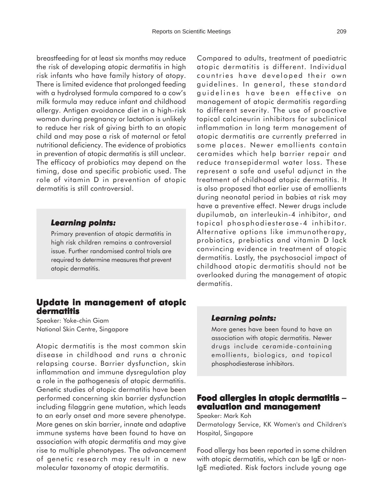breastfeeding for at least six months may reduce the risk of developing atopic dermatitis in high risk infants who have family history of atopy. There is limited evidence that prolonged feeding with a hydrolysed formula compared to a cow's milk formula may reduce infant and childhood allergy. Antigen avoidance diet in a high-risk woman during pregnancy or lactation is unlikely to reduce her risk of giving birth to an atopic child and may pose a risk of maternal or fetal nutritional deficiency. The evidence of probiotics in prevention of atopic dermatitis is still unclear. The efficacy of probiotics may depend on the timing, dose and specific probiotic used. The role of vitamin D in prevention of atopic dermatitis is still controversial.

#### *Learning points: Learning*

Primary prevention of atopic dermatitis in high risk children remains a controversial issue. Further randomised control trials are required to determine measures that prevent atopic dermatitis.

## **Update in management of atopic dermatitis**

Speaker: Yoke-chin Giam National Skin Centre, Singapore

Atopic dermatitis is the most common skin disease in childhood and runs a chronic relapsing course. Barrier dysfunction, skin inflammation and immune dysregulation play a role in the pathogenesis of atopic dermatitis. Genetic studies of atopic dermatitis have been performed concerning skin barrier dysfunction including filaggrin gene mutation, which leads to an early onset and more severe phenotype. More genes on skin barrier, innate and adaptive immune systems have been found to have an association with atopic dermatitis and may give rise to multiple phenotypes. The advancement of genetic research may result in a new molecular taxonomy of atopic dermatitis.

Compared to adults, treatment of paediatric atopic dermatitis is different. Individual countries have developed their own guidelines. In general, these standard guidelines have been effective on management of atopic dermatitis regarding to different severity. The use of proactive topical calcineurin inhibitors for subclinical inflammation in long term management of atopic dermatitis are currently preferred in some places. Newer emollients contain ceramides which help barrier repair and reduce transepidermal water loss. These represent a safe and useful adjunct in the treatment of childhood atopic dermatitis. It is also proposed that earlier use of emollients during neonatal period in babies at risk may have a preventive effect. Newer drugs include dupilumab, an interleukin-4 inhibitor, and topical phosphodiesterase-4 inhibitor. Alternative options like immunotherapy, probiotics, prebiotics and vitamin D lack convincing evidence in treatment of atopic dermatitis. Lastly, the psychosocial impact of childhood atopic dermatitis should not be overlooked during the management of atopic dermatitis.

#### *Learning points: Learning*

More genes have been found to have an association with atopic dermatitis. Newer drugs include ceramide-containing emollients, biologics, and topical phosphodiesterase inhibitors.

# **Food allergies in atopic dermatitis allergies in dermatitis** − **evaluation and management and**

Speaker: Mark Koh

Dermatology Service, KK Women's and Children's Hospital, Singapore

Food allergy has been reported in some children with atopic dermatitis, which can be IgE or non-IgE mediated. Risk factors include young age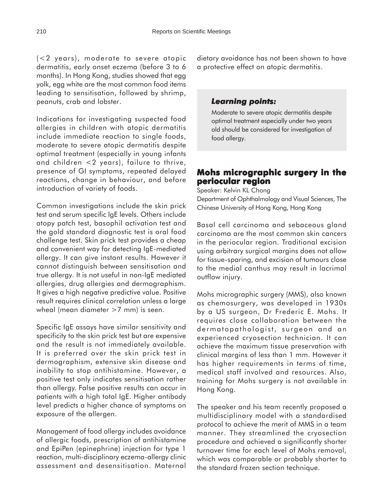(<2 years), moderate to severe atopic dermatitis, early onset eczema (before 3 to 6 months). In Hong Kong, studies showed that egg yolk, egg white are the most common food items leading to sensitisation, followed by shrimp, peanuts, crab and lobster.

Indications for investigating suspected food allergies in children with atopic dermatitis include immediate reaction to single foods, moderate to severe atopic dermatitis despite optimal treatment (especially in young infants and children <2 years), failure to thrive, presence of GI symptoms, repeated delayed reactions, change in behaviour, and before introduction of variety of foods.

Common investigations include the skin prick test and serum specific IgE levels. Others include atopy patch test, basophil activation test and the gold standard diagnostic test is oral food challenge test. Skin prick test provides a cheap and convenient way for detecting IgE-mediated allergy. It can give instant results. However it cannot distinguish between sensitisation and true allergy. It is not useful in non-IgE mediated allergies, drug allergies and dermographism. It gives a high negative predictive value. Positive result requires clinical correlation unless a large wheal (mean diameter >7 mm) is seen.

Specific IgE assays have similar sensitivity and specificity to the skin prick test but are expensive and the result is not immediately available. It is preferred over the skin prick test in dermographism, extensive skin disease and inability to stop antihistamine. However, a positive test only indicates sensitisation rather than allergy. False positive results can occur in patients with a high total IgE. Higher antibody level predicts a higher chance of symptoms on exposure of the allergen.

Management of food allergy includes avoidance of allergic foods, prescription of antihistamine and EpiPen (epinephrine) injection for type 1 reaction, multi-disciplinary eczema-allergy clinic assessment and desensitisation. Maternal dietary avoidance has not been shown to have a protective effect on atopic dermatitis.

#### *Learning points: Learning*

Moderate to severe atopic dermatitis despite optimal treatment especially under two years old should be considered for investigation of food allergy.

# **Mohs micrographic surgery in the periocular region**

Speaker: Kelvin KL Chong Department of Ophthalmology and Visual Sciences, The Chinese University of Hong Kong, Hong Kong

Basal cell carcinoma and sebaceous gland carcinoma are the most common skin cancers in the periocular region. Traditional excision using arbitrary surgical margins does not allow for tissue-sparing, and excision of tumours close to the medial canthus may result in lacrimal outflow injury.

Mohs micrographic surgery (MMS), also known as chemosurgery, was developed in 1930s by a US surgeon, Dr Frederic E. Mohs. It requires close collaboration between the dermatopathologist, surgeon and an experienced cryosection technician. It can achieve the maximum tissue preservation with clinical margins of less than 1 mm. However it has higher requirements in terms of time, medical staff involved and resources. Also, training for Mohs surgery is not available in Hong Kong.

The speaker and his team recently proposed a multidisciplinary model with a standardised protocol to achieve the merit of MMS in a team manner. They streamlined the cryosection procedure and achieved a significantly shorter turnover time for each level of Mohs removal, which was comparable or probably shorter to the standard frozen section technique.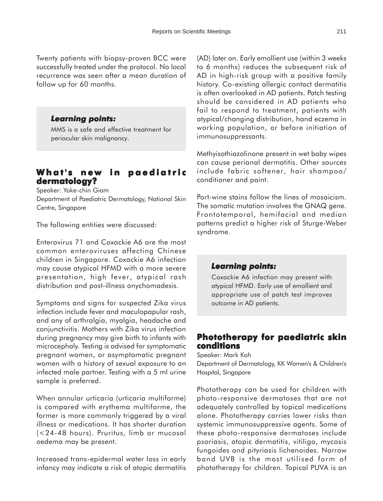Twenty patients with biopsy-proven BCC were successfully treated under the protocol. No local recurrence was seen after a mean duration of follow up for 60 months.

#### *Learning points: Learning*

MMS is a safe and effective treatment for periocular skin malignancy.

# **What's new in paediatric dermatology?**

Speaker: Yoke-chin Giam Department of Paediatric Dermatology, National Skin Centre, Singapore

The following entities were discussed:

Enterovirus 71 and Coxackie A6 are the most common enteroviruses affecting Chinese children in Singapore. Coxackie A6 infection may cause atypical HFMD with a more severe presentation, high fever, atypical rash distribution and post-illness onychomadesis.

Symptoms and signs for suspected Zika virus infection include fever and maculopapular rash, and any of arthralgia, myalgia, headache and conjunctivitis. Mothers with Zika virus infection during pregnancy may give birth to infants with microcephaly. Testing is advised for symptomatic pregnant women, or asymptomatic pregnant women with a history of sexual exposure to an infected male partner. Testing with a 5 ml urine sample is preferred.

When annular urticaria (urticaria multiforme) is compared with erythema multiforme, the former is more commonly triggered by a viral illness or medications. It has shorter duration (<24-48 hours). Pruritus, limb or mucosal oedema may be present.

Increased trans-epidermal water loss in early infancy may indicate a risk of atopic dermatitis

(AD) later on. Early emollient use (within 3 weeks to 6 months) reduces the subsequent risk of AD in high-risk group with a positive family history. Co-existing allergic contact dermatitis is often overlooked in AD patients. Patch testing should be considered in AD patients who fail to respond to treatment, patients with atypical/changing distribution, hand eczema in working population, or before initiation of immunosuppressants.

Methyisothiazolinone present in wet baby wipes can cause perianal dermatitis. Other sources include fabric softener, hair shampoo/ conditioner and paint.

Port-wine stains follow the lines of mosaicism. The somatic mutation involves the GNAQ gene. Frontotemporal, hemifacial and median patterns predict a higher risk of Sturge-Weber syndrome.

### *Learning points: Learning*

Coxackie A6 infection may present with atypical HFMD. Early use of emollient and appropriate use of patch test improves outcome in AD patients.

# **Phototherapy for paediatric skin conditions**

Speaker: Mark Koh Department of Dermatology, KK Women's & Children's Hospital, Singapore

Phototherapy can be used for children with photo-responsive dermatoses that are not adequately controlled by topical medications alone. Phototherapy carries lower risks than systemic immunosuppressive agents. Some of these photo-responsive dermatoses include psoriasis, atopic dermatitis, vitiligo, mycosis fungoides and pityriasis lichenoides. Narrow band UVB is the most utilised form of phototherapy for children. Topical PUVA is an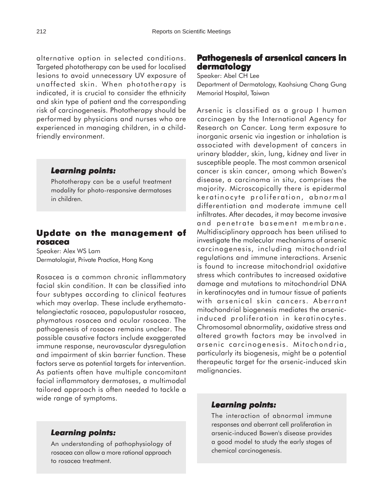alternative option in selected conditions. Targeted phototherapy can be used for localised lesions to avoid unnecessary UV exposure of unaffected skin. When phototherapy is indicated, it is crucial to consider the ethnicity and skin type of patient and the corresponding risk of carcinogenesis. Phototherapy should be performed by physicians and nurses who are experienced in managing children, in a childfriendly environment.

#### *Learning points: Learning*

Phototherapy can be a useful treatment modality for photo-responsive dermatoses in children.

## **Update on the management of Update on of rosacea**

Speaker: Alex WS Lam Dermatologist, Private Practice, Hong Kong

Rosacea is a common chronic inflammatory facial skin condition. It can be classified into four subtypes according to clinical features which may overlap. These include erythematotelangiectatic rosacea, papulopustular rosacea, phymatous rosacea and ocular rosacea. The pathogenesis of rosacea remains unclear. The possible causative factors include exaggerated immune response, neurovascular dysregulation and impairment of skin barrier function. These factors serve as potential targets for intervention. As patients often have multiple concomitant facial inflammatory dermatoses, a multimodal tailored approach is often needed to tackle a wide range of symptoms.

#### *Learning points: Learning*

An understanding of pathophysiology of rosacea can allow a more rational approach to rosacea treatment.

# **Pathogenesis of arsenical cancers in dermatology**

Speaker: Abel CH Lee

Department of Dermatology, Kaohsiung Chang Gung Memorial Hospital, Taiwan

Arsenic is classified as a group I human carcinogen by the International Agency for Research on Cancer. Long term exposure to inorganic arsenic via ingestion or inhalation is associated with development of cancers in urinary bladder, skin, lung, kidney and liver in susceptible people. The most common arsenical cancer is skin cancer, among which Bowen's disease, a carcinoma in situ, comprises the majority. Microscopically there is epidermal keratinocyte proliferation, abnormal differentiation and moderate immune cell infiltrates. After decades, it may become invasive and penetrate basement membrane. Multidisciplinary approach has been utilised to investigate the molecular mechanisms of arsenic carcinogenesis, including mitochondrial regulations and immune interactions. Arsenic is found to increase mitochondrial oxidative stress which contributes to increased oxidative damage and mutations to mitochondrial DNA in keratinocytes and in tumour tissue of patients with arsenical skin cancers. Aberrant mitochondrial biogenesis mediates the arsenicinduced proliferation in keratinocytes. Chromosomal abnormality, oxidative stress and altered growth factors may be involved in arsenic carcinogenesis. Mitochondria, particularly its biogenesis, might be a potential therapeutic target for the arsenic-induced skin malignancies.

#### *Learning points: Learning*

The interaction of abnormal immune responses and aberrant cell proliferation in arsenic-induced Bowen's disease provides a good model to study the early stages of chemical carcinogenesis.